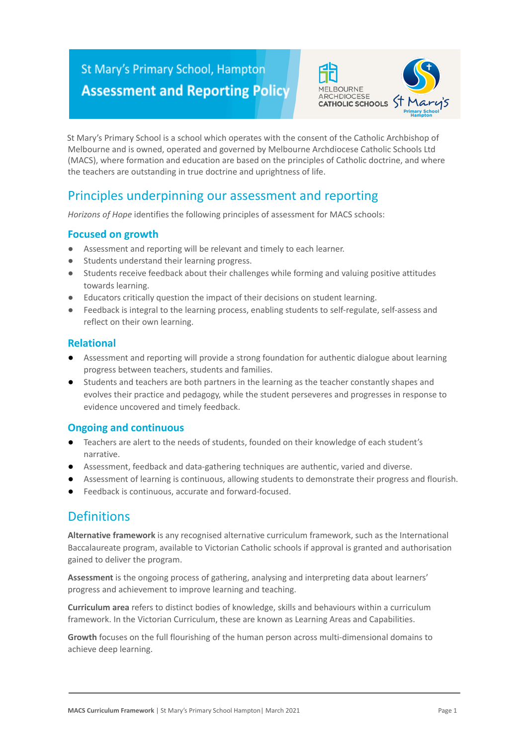# St Mary's Primary School, Hampton **Assessment and Reporting Policy**



St Mary's Primary School is a school which operates with the consent of the Catholic Archbishop of Melbourne and is owned, operated and governed by Melbourne Archdiocese Catholic Schools Ltd (MACS), where formation and education are based on the principles of Catholic doctrine, and where the teachers are outstanding in true doctrine and uprightness of life.

## Principles underpinning our assessment and reporting

*Horizons of Hope* identifies the following principles of assessment for MACS schools:

### **Focused on growth**

- Assessment and reporting will be relevant and timely to each learner.
- Students understand their learning progress.
- Students receive feedback about their challenges while forming and valuing positive attitudes towards learning.
- Educators critically question the impact of their decisions on student learning.
- Feedback is integral to the learning process, enabling students to self-regulate, self-assess and reflect on their own learning.

#### **Relational**

- Assessment and reporting will provide a strong foundation for authentic dialogue about learning progress between teachers, students and families.
- Students and teachers are both partners in the learning as the teacher constantly shapes and evolves their practice and pedagogy, while the student perseveres and progresses in response to evidence uncovered and timely feedback.

### **Ongoing and continuous**

- Teachers are alert to the needs of students, founded on their knowledge of each student's narrative.
- Assessment, feedback and data-gathering techniques are authentic, varied and diverse.
- Assessment of learning is continuous, allowing students to demonstrate their progress and flourish.
- Feedback is continuous, accurate and forward-focused.

## **Definitions**

**Alternative framework** is any recognised alternative curriculum framework, such as the International Baccalaureate program, available to Victorian Catholic schools if approval is granted and authorisation gained to deliver the program.

**Assessment** is the ongoing process of gathering, analysing and interpreting data about learners' progress and achievement to improve learning and teaching.

**Curriculum area** refers to distinct bodies of knowledge, skills and behaviours within a curriculum framework. In the Victorian Curriculum, these are known as Learning Areas and Capabilities.

**Growth** focuses on the full flourishing of the human person across multi-dimensional domains to achieve deep learning.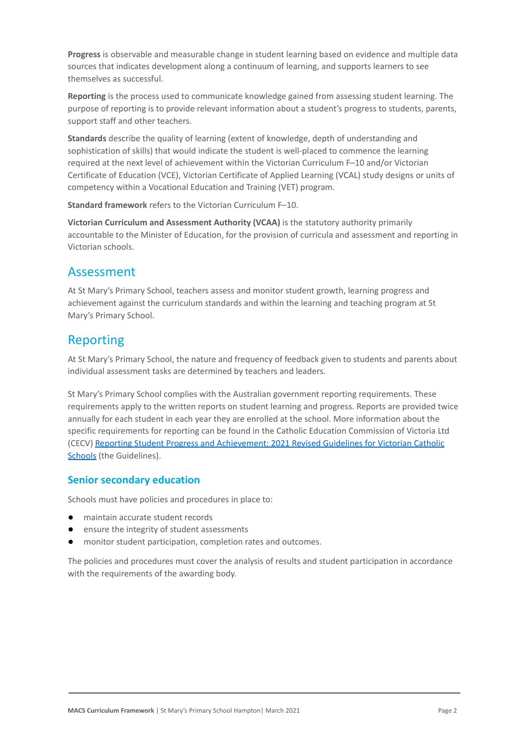**Progress** is observable and measurable change in student learning based on evidence and multiple data sources that indicates development along a continuum of learning, and supports learners to see themselves as successful.

**Reporting** is the process used to communicate knowledge gained from assessing student learning. The purpose of reporting is to provide relevant information about a student's progress to students, parents, support staff and other teachers.

**Standards** describe the quality of learning (extent of knowledge, depth of understanding and sophistication of skills) that would indicate the student is well-placed to commence the learning required at the next level of achievement within the Victorian Curriculum F–10 and/or Victorian Certificate of Education (VCE), Victorian Certificate of Applied Learning (VCAL) study designs or units of competency within a Vocational Education and Training (VET) program.

**Standard framework** refers to the Victorian Curriculum F–10.

**Victorian Curriculum and Assessment Authority (VCAA)** is the statutory authority primarily accountable to the Minister of Education, for the provision of curricula and assessment and reporting in Victorian schools.

### Assessment

At St Mary's Primary School, teachers assess and monitor student growth, learning progress and achievement against the curriculum standards and within the learning and teaching program at St Mary's Primary School.

### Reporting

At St Mary's Primary School, the nature and frequency of feedback given to students and parents about individual assessment tasks are determined by teachers and leaders.

St Mary's Primary School complies with the Australian government reporting requirements. These requirements apply to the written reports on student learning and progress. Reports are provided twice annually for each student in each year they are enrolled at the school. More information about the specific requirements for reporting can be found in the Catholic Education Commission of Victoria Ltd (CECV) [Reporting Student Progress and Achievement:](https://cevn.cecv.catholic.edu.au/MelbourneDiocese/Document-File/Curriculum/Reporting/CECV-2019-Revised-Student-Reporting-Guidelines.aspx) 2021 Revised Guidelines for Victorian Catholic [Schools](https://cevn.cecv.catholic.edu.au/MelbourneDiocese/Document-File/Curriculum/Reporting/CECV-2019-Revised-Student-Reporting-Guidelines.aspx) (the Guidelines).

### **Senior secondary education**

Schools must have policies and procedures in place to:

- maintain accurate student records
- ensure the integrity of student assessments
- monitor student participation, completion rates and outcomes.

The policies and procedures must cover the analysis of results and student participation in accordance with the requirements of the awarding body.